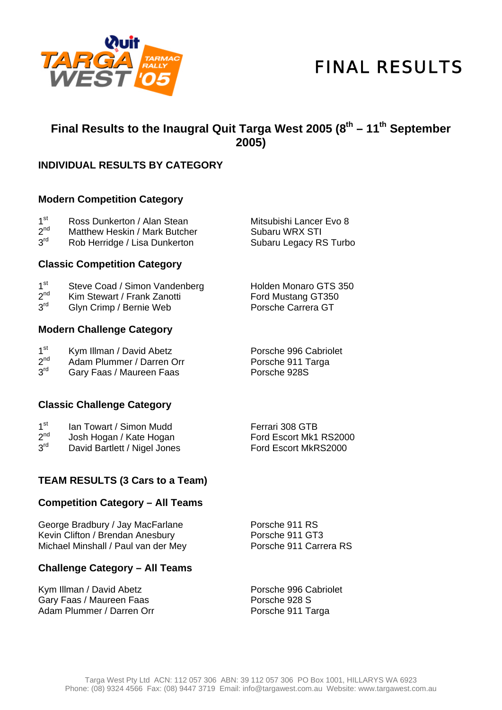

# FINAL RESULTS

## Final Results to the Inaugral Quit Targa West 2005 (8<sup>th</sup> – 11<sup>th</sup> September **2005)**

## **INDIVIDUAL RESULTS BY CATEGORY**

#### **Modern Competition Category**

- $1<sup>st</sup>$  $1^{\text{st}}$  Ross Dunkerton / Alan Stean Mitsubishi Lancer Evo 8<br>  $2^{\text{nd}}$  Matthew Heskin / Mark Butcher Subaru WRX STI
- 2<sup>nd</sup> Matthew Heskin / Mark Butcher Subaru WRX STI<br>3<sup>rd</sup> Rob Herridge / Lisa Dunkerton Subaru Legacy Ri
- Rob Herridge / Lisa Dunkerton Subaru Legacy RS Turbo

#### **Classic Competition Category**

- 
- 
- 3rd Glyn Crimp / Bernie Web Porsche Carrera GT

### **Modern Challenge Category**

| 1 <sup>st</sup> |  |  | Kym Illman / David Abetz |  |
|-----------------|--|--|--------------------------|--|
|-----------------|--|--|--------------------------|--|

- $2^{nd}$  Adam Plummer / Darren Orr **Porsche 911 Targa**<br> $3^{rd}$  Gary Faas / Maureen Faas **Porsche 928** Porsche 928S
- Gary Faas / Maureen Faas Porsche 928S

#### **Classic Challenge Category**

| 1 <sup>st</sup>   | Ian Towart / Simon Mudd      | Ferrari 308 GTB        |
|-------------------|------------------------------|------------------------|
| $2^{\mathsf{nd}}$ | Josh Hogan / Kate Hogan      | Ford Escort Mk1 RS2000 |
| $3^{\mathsf{rd}}$ | David Bartlett / Nigel Jones | Ford Escort MkRS2000   |

#### **TEAM RESULTS (3 Cars to a Team)**

#### **Competition Category – All Teams**

George Bradbury / Jay MacFarlane Porsche 911 RS Kevin Clifton / Brendan Anesbury Porsche 911 GT3 Michael Minshall / Paul van der Mey Porsche 911 Carrera RS

### **Challenge Category – All Teams**

Kym Illman / David Abetz **Porsche 996 Cabriolet** Gary Faas / Maureen Faas **Porsche 928 S** Porsche 928 S<br>Adam Plummer / Darren Orr Porsche 911 Targa Adam Plummer / Darren Orr

1st Steve Coad / Simon Vandenberg Holden Monaro GTS 350<br>  $2^{nd}$  Kim Stewart / Frank Zanotti Ford Mustang GT350 2<sup>nd</sup> Kim Stewart / Frank Zanotti **Ford Mustang GT350**<br>3<sup>rd</sup> Glyn Crimn / Bernie Web **Forsche Gartera GT** 

 $1^{\text{st}}$  Kym Illman / David Abetz **Porsche 996 Cabriolet** Porsche 996 Cabriolet Porsche 911 Targa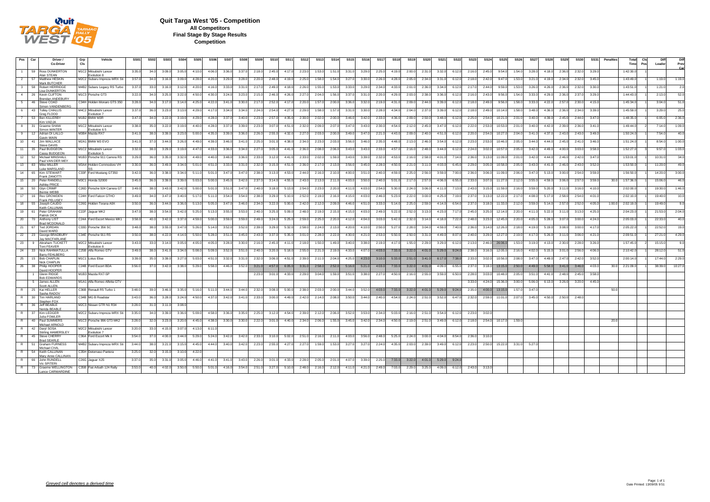

#### **Quit Targa West '05 - Competition All Competitors Final Stage By Stage Results Competition**

| Pos | Car | Driver /<br>Co-Driver                    | Grp<br>Cis        | Vehicle                               | <b>SS0</b> | <b>SS02</b>     | <b>SS03</b> | <b>SS04</b> | <b>SS05</b> | S <sub>SO</sub> | SS <sub>07</sub> | <b>SS08</b> | SS <sub>09</sub> | <b>SS10</b> | <b>SS11</b> | <b>SS12</b> | <b>SS13</b> | <b>SS14</b> | <b>SS15</b> | SS16   | <b>SS17</b> | <b>SS18</b> | <b>SS19</b> | <b>SS20</b> | <b>SS21</b> | <b>SS22</b> | <b>SS23</b> | <b>SS24</b> | <b>SS25</b> | <b>SS26</b> | <b>SS27</b> | <b>SS28</b> | <b>SS29</b> | <b>SS30</b> | SS <sub>3</sub> | Penaltie | Total<br>Tim | Cis<br>Pos | Di<br>Leade | Pre <sup>t</sup> |
|-----|-----|------------------------------------------|-------------------|---------------------------------------|------------|-----------------|-------------|-------------|-------------|-----------------|------------------|-------------|------------------|-------------|-------------|-------------|-------------|-------------|-------------|--------|-------------|-------------|-------------|-------------|-------------|-------------|-------------|-------------|-------------|-------------|-------------|-------------|-------------|-------------|-----------------|----------|--------------|------------|-------------|------------------|
|     | 59  | Ross DUNKERTON<br>lan STEAN              |                   | M1C2 Mitsubishi Lancer<br>Fynlution 8 | 3:35.0     | 34.0            | 3:09.0      | 3:05.0      | 4:100       | 4:06.0          | 3:36.0           | 3:37.0      | 2:18.0           | 2:45.0      | 4:17.0      | 2:23.0      | 1:53.0      | 1:51.       | 3:31.0      | 3:29.0 | 2:25.0      | 4:19.0      | 2:00.0      | 2:31.0      | 3:32.       | 6:12.0      | 2:16.0      | 2:45.0      | 9:54.0      | 1:54.0      | 3:28.0      | 4.180       | 2:36.       | 2:32.0      | 3:29.           |          | 1:42:30.0    |            |             |                  |
|     | 57  | Matthew HESKIN<br>ark BUTCHER            |                   | M2C2 Subaru Impreza WRX Sti           | 3:57.      | 34.0            | 3:16.0      | 3:09.       | 4:28.0      | 4:20.0          | 3:29.            | 3:28.0      | 2:20.1           | 2:48.0      | 4:19.0      | 2:25.0      | 1:58        | 1:54.       | 3:27.0      | 3:30.0 | 2:26.0      | 4:28.0      | 2:05.       | 2:34.       | 3:31.       | 6:12.0      | 2:18.0      | 2:42.1      | 9:47.0      | 1:53.       | 3:21.       | 4:19.0      | 2:34.       | 2:32.0      | 3:45.0          |          | 1:43:49.0    |            | 1:19.0      |                  |
|     | 58  | obert HERRIDGE<br><b>a DUNKERTON</b>     |                   | M4B2 Subaru Legacy RS Turbo           | 3:37       | 33.0            | 3:160       | 3:12.1      | 4:20.0      | 4:16.0          | 3:33             | 3:31.0      | 2:17             | 2:49.0      | 4:18.0      | 2:26.0      | 1:55.       | 1:53.       | 3:33.0      | 3:29.0 | 2:34.       | 4:33.0      | 2:01.       | 2:36.       | 3:34.0      | 6:12.0      | 2:17        | 2:44.       | 9:59.0      | 1:53.0      | 3:26        | 4:26.0      | 2:36.       | 2:32.       | 3:30.0          |          | 1:43:51.     |            | 1:21.0      |                  |
| 4   | 26  | Kevin CLIFTON<br>rendan ANDEBURY         |                   | M1C3 Porsche GT3                      | 3:22.0     | 34.0            | 3:25.0      | 3:22.0      | 4:50.0      | 4:30.0          | 3:24.0           | 3:23.0      | 2:15.0           | 2:46.0      | 4:26.0      | 2:27.0      | 2:04.0      | 1:56.       | 3:37.0      | 3:31.0 | 2:20.0      | 4:29.0      | 2:03.0      | 2:38.0      | 3:36.0      | 6:12.0      | 2:16.0      | 2:43.       | 9:56.0      | 1:54.0      | 3:33.0      | 4:29.0      | 2:36.       | 2:37.0      | 3:29.0          |          | 1:44:43.0    |            | 2:13.0      |                  |
|     | 46  | Steve COAD<br>imon VANDENBERO            | C34H              | Holden Monaro GTS 350                 | 3:28.      | 34.0            | 3:17.0      | 3:14.       | 4:25.0      | 4:22.0          | 3:41.            | 3:30.0      | 2:17.            | 2:52.0      | 4:17.0      | 2:20.0      | 1:57.0      | 2:00.       | 3:36.0      | 3:32.0 | 2:19.0      | 4:31.0      | 2:09.0      | 2:44.0      | 3:39.0      | 6:12.0      | 2:18.0      | 2:49.0      | 9:56.0      | 1:58.0      | 3:33.1      | 4:22.0      | 2:57.       | 2:30.0      | 4:15.0          |          | 1:45:34.0    |            | 3:04.0      |                  |
| 6   |     | 43 Tolley CHALLIS<br><b>Grea ELOOD</b>   |                   | M4C2 Mitsubishi Lancer<br>Evolution 7 | $3:37$ .   | 36.0            | 3:23.0      | 3:13        | 4:29.0      | 4:17.0          | 3:34.            | 3:34.0      | 2:24.0           | 2:54.0      | 4:27.0      | 2:29.0      | 1:58.0      | 1:57.       | 3:31.0      | 3:30.0 | 2:28.0      | 4:34.0      | 2:04.0      | 2:37.0      | 3:39.0      | 6:12.0      | 2:18.0      | 2:49.       | 10:14.0     | 1:58.0      | 3:48.       | 4:36.0      | 2:36.       | 2:34.0      | 3:39.0          |          | 1:45:59.0    |            | 3:29.0      | 25.              |
|     | 53  | 3en KILLERBY<br>im VAD.IA                | M1B2              | <b>BMW M3R</b>                        | 3:47.      | 34.0            | 3:22.0      | 3:19.0      | 4:29.0      | 4:28.0          | 3:37             | 3:40.0      | 2:23.0           | 2:57.       | 4:35.0      | 2:30.0      | 2:02.0      | 2:00.       | 3:46.0      | 3:42.0 | 2:33.0      | 4:36.0      | 2:09.0      | 2:50.       | 3:48.0      | 6:12.0      | 2:25.0      | 2:54.0      | 10:21.      | 2:01.0      | 3:40.0      | 4:39.0      | 2:45.       | 2:44.0      | 3:47.0          |          | 1:48:35.0    |            | 6:05.0      | 2:36.0           |
|     | 31  | <b>Graeme SHAW</b><br>non WINTER         | M1C2              | Mitsubishi Lancer<br>Evolution 6.5    | 3:38.      | 35.0            | 3:22.0      | 3:19.       | 4:40.0      | 4:28.0          | 3:37             | 3:39.0      | 2:23.0           | 3:07        | 4:51.0      | 2:32.0      | 2:09.0      | 2:07.       | 3:47.0      | 3:43.0 | 2:30.0      | 4:54.0      | 2:12.0      | 2:45.       | 3:47.       | 6:12.0      | 2:22.0      | 2:53.0      | 10:53.0     | 2:01.0      | 3:40.0      | 4:42.0      | 2:39.       | 2:36.0      | 3:41.           |          | 1:49:44.0    |            | 7:14.0      |                  |
|     | 12  | Adrian DI LALLO<br>avin WAIN             | M3R4              | Mazda RX7                             | 3:41       | 38 O            | 3:39.0      | - 3:23.     | 5:00.       | 4:35.0          | -3:39.           | 3:36.0      | 2:26.            | - 2:55.     | 4:32.0      | 2:27.       | 2:03.0      | 2:00        | 3:49.0      | 3:47.  | -2:21       | 4:43.0      | 2:09.1      | 2.40        | 4:51        | 6:12.0      | 2:20.0      | 2:54.       | 10:27.1     | 2:04.0      | $-3:41$     | 4:37.       | 2:43.       | 2:43.       | 3:49.           |          | 1:50:24.     |            | 7.54        |                  |
| 10  | 41  | Jim WALLACE<br><b>DAVIS</b>              |                   | M2A1 BMW M3 EVO                       | 3:41.0     | 37.0            | 3:44.0      | 3:26.0      | 4:49.0      | 4:39.0          | 3:46.            | 3:41.0      | 2:25.0           | 3:01.0      | 4:38.0      | 2:34.0      | 2:23.0      | 2:03.       | 3:56.0      | 3:46.0 | 2:35.0      | 4:48.0      | 2:13.0      | 2:46.0      | 3:54.0      | 6:12.0      | 2:23.0      | 2:53.0      | 10:46.0     | 2:05.0      | 3:44.0      | 4:44.0      | 2:45.       | 2:41.0      | 3:46.0          |          | 1:51:24.0    |            | 8:54.0      |                  |
| 11  | 35  | Paul BUDGEON<br>cev RI IDGEON            | M1C2              | Mitsubishi Lancer<br>Evolution 5      | 3:32.1     | 38.0            | 3:29.0      | 3:19.       | 4:47.0      | 4:33.0          | 3:36             | 3:34.0      | $2:27$ .         | 3:05.0      | 4:41.0      | 2:36.0      | 2:08.0      | 2:06.       | 3:43.0      | 3:43.0 | 2:33.       | 4:57.0      | 2:16.0      | 2:48.       | 3:44.0      | 6:12.0      | 2:24.0      | 3:02.       | 10:57.0     | 2:05.0      | 3:42.1      | 4:49.0      | 4:00.       | 3:03        | 3:58.0          |          | 1:52:27.     |            | 9:57.0      |                  |
| 12  | 52  | Michael MINSHALL<br>aul VAN DER MEY      |                   | M1B3 Porsche 911 Carrera RS           | 3:29.1     | 36.0            | 3:35.0      | 3:32        | 4:49.0      | 4:40.0          | 3:48             | 3:36.0      | 2:33.0           | 3:12.1      | 4:41.       | 2:33.0      | 2:02.1      | 1:59.       | 3:43.0      | 3:39.0 | 2:32.       | 4:53.0      | 2:16.0      | 2:58.       | 4:01        | 7:14.0      | 2:36.0      | 3:13        | 11:09.      | 2:01.0      | 3:42        | 4:44.0      | 2:46.       | 2:42.       | 3:47            |          | 1:53:01.     |            | 10:31.      |                  |
| 13  | 83  | Mike MILLER<br>Jke MARSLAND              |                   | M3A4 Holden Commodore VH              | 3:30.      | 36.0            | 3:49.0      | 3:34.0      | 5:01.0      | 4:51.0          | 3:33.            | 3:31.0      | 2:32.1           | 3:15.0      | 4:51.0      | 2:36.0      | 2:17.0      | 2:13.       | 3:56.0      | 3:45.0 | 2:28.0      | 4:50.0      | 2:21.0      | 3:11.       | 4:03.0      | 6:45.0      | 2:29.0      | 3:05.0      | 10:58.0     | 2:05.0      | 3:43.       | 4:41.0      | 2:46.       | 2:43.0      | 3:52.0          |          | 1:53:50.     |            | 11:20.0     |                  |
| 14  | 65  | Kim STFWART<br>rank ZANOTT               |                   | C33F Ford Mustang GT350               | 3:42.1     | 36.0            | 3:38.0      | 3:34.0      | 5:11.0      | 5:01            | 3:47.            | 3:47.0      | 2:38.0           | 3:13.0      | 4:53.0      | 2:44.0      | 2:16.0      | 2:10.       | 4:00.0      | 3:51.  | 2:40.0      | 4:59.0      | 2:25.0      | 2:56.0      | 3:59.0      | 7:00.0      | 2:36.0      | 3:06.0      | 11:09.0     | 2:06.0      | 3:47        | 5:13.0      | 3:00.       | 2:54.0      | 3:59.0          |          | 1:56:50.0    |            | 14:20.0     | 3:00.            |
| 15  | 20  | 'eter RANDELI<br>shlev PRICE             | M3C1              | Honda S2000                           | 3:45.      | 36 <sub>c</sub> | 3:39.0      | 3:39.       | 5:03.       | 5:00.           | 3:45             | 3:42.0      | 2:37.            | 3:14.1      | 4:55.       | 2:43        | 2:13.       | 2:11        | 4:03.0      | 3:50.  | 2:40        | 5:01.0      | 2:17        | 2:57        | 4:06.0      | 6:55.       | 2:33.0      | 3:07        | 11:27.      | 2:12.0      | 3:55        | 4:59.0      | 3:06.       | 2:57        | 3:59.           |          | 1:57:36.     |            | 15:06.      |                  |
| 16  | 50  | <b>Siyn CRIMP</b><br>mie WFBR            | C26D              | Porsche 924 Carrera GT                | 3:49.      | 38.0            | 3:43.0      | 3:42.1      | 5:00.0      | 5:01            | 3:51             | 3:47.0      | 2:40.0           | 3:18.0      | 5:13.0      | 2:54.0      | 2:23.0      | 2:20.       | 4:11.0      | 4:03.0 | 2:54.       | 5:30.0      | 2:24.0      | 3:06        | 4:11.       | 7:13.0      | 2:43.0      | 3:15.1      | 11:59.0     | 2:16.0      | 3:59        | 5:20.0      | 3:11        | 3:16.       | 4:10.           |          | 2:02:00      |            | 19:30.0     |                  |
| 17  | 16  | <b>Rex GROWDEN</b><br>rank PELUSEY       |                   | C24H Ford Falcon GTHO                 | 3:49.      | 34.0            | 3:47.0      | 3:40.0      | 5:17.0      | 5:11.0          | 3:54.0           | 3:54.0      | 2:38.0           | 3:29.0      | 5:10.0      | 2:52.0      | 2:19.0      | 2:16.       | 4:15.0      | 4:03.0 | 2:46.0      | 5:23.0      | 2:22.0      | 3:00.0      | 4:25.0      | 7:19.0      | 2:37.0      | 3:13.1      | 12:22.0     | 2:17.0      | 4:08.0      | 5:17.0      | 2:58.       | 2:54.0      | 4:01.0          |          | 2:02:10.     |            | 19:40.0     |                  |
| 18  | 55  | Joseph CAUDO<br>eith CAI I INAN          |                   | C26G Holden Torana A9X                | 3:50.0     | 36.0            | 3:44.0      | 3:36.       | 5:13.0      | 5:05.0          | 3:47.            | 3:46.0      | 2:34.0           | 3:22.0      | 5:00.0      | 2:42.0      | 2:12.0      | 2:09.       | 4:46.0      | 4:51.0 | 3:33.0      | 5:14.0      | 2:25.0      | 2:59.0      | 4:14.0      | 6:54.0      | 2:37.0      | 3:18.       | 11:33.0     | 2:12.0      | 3:59.       | 5:14.0      | 2:57.       | 2:52.0      | 4:05.0          | 1:00.0   | 2:02:19.0    |            | 19:49.0     |                  |
| 19  | 61  | eter GRAHAM<br>strick DICK               | C22F              | Jaguar MK2                            | 3:47       | 38.0            | 3:54.0      | 3:42.       | 5:25.0      | 5:13.0          | 3:55.            | 3:53.0      | 2:40.1           | 3:25.0      | 5:09.0      | 2:48.0      | 2:19.0      | 2:15.       | 4:15.0      | 4:03.0 | 2:49.0      | 5:22.0      | 2:52.0      | 3:13.       | 4:23.0      | 7:17.0      | 2:45.0      | 3:25.1      | 12:14.0     | 2:20.0      | 4:11        | 5:22.0      | 3:11        | 3:13        | 4:25.           |          | 2:04:23.     |            | 21:53.0     | 2:04.            |
| 20  | 70  | Anthony LIST<br>rad MCDONALD             |                   | C24A Ford Escort Mexico MK1           | 3:58.      | 40.0            | 3:42.0      | 3:37.       | 4:59.0      | 5:00.0          | 3:59.            | 3:59.0      | 2:49.0           | 3:24.0      | 5:25.0      | 2:59.0      | 2:25.0      | 2:20.       | 4:12.0      | 4:04.0 | 3:03.       | 5:42.0      | 2:32.0      | 3:14.       | 4:18.0      | 7:22.0      | 2:48.0      | 3:23.0      | 12:45.0     | 2:20.0      | 4:05.       | 5:28.0      | 3:07.       | 3:00.       | 4:24.0          |          | 2:05:03.     |            | 22:33.0     |                  |
| 21  | 67  | Ted JORDAN<br>avid WARD                  |                   | C33D Porsche 356 SC                   | 3:48.0     | 38.0            | 3:55.0      | 3:47.       | 5:26.0      | 5:14.0          | 3:52.0           | 3:52.0      | 2:39.            | 3:29.0      | 5:32.0      | 2:58.0      | 2:24.0      | 2:13.       | 4:20.0      | 4:10.0 | 2:50.0      | 5:27.0      | 2:28.0      | 3:04.0      | 4:59.0      | 7:40.0      | 2:36.0      | 3:14.1      | 12:26.0     | 2:18.0      | 4:19.0      | 5:19.0      | 3:08.       | 3:00.0      | 4:17.           |          | 2:05:22.     |            | 22:52.0     |                  |
| 22  | 23  | George BRADBURY<br>v MACFARLAN           | C34F              | Porsche 911 RS                        | 3:50       | 38.0            | 4:22.0      | 4:14.       | 5:500       | 5:28.0          | 3:51.            | 3:45.0      | 2:43.0           | 3:37.0      | 5:35.0      | 3:01.0      | 2.280       | 2:22.       | 4:30.0      | 4:21.0 | 2:53.0      | 5:50.0      | 2:50.0      | $-3:31.1$   | 4:49.0      | 8:07.0      | 2:40.0      | 3:29.0      | 12:27.0     | 2:19.0      | 4.17        | 5:26.0      | 3:11        | 3:06.       | 4:21.           |          | 2:09:51.0    |            | 27:21.0     | 4:29.            |
| 23  |     | Abraham TUCKET<br>Oni FFAVER             | M2C2              | Mitsubishi Lancer<br>Funlution 8      | 3:43.0     | 33.0            | 3:14.0      | 3:05.       | 4:05.0      | 4:05.0          | 3:28             | 3:30.0      | 2:16.1           | 2:45.0      | 4:11.0      | 2:18.0      | 1:50.       | 1:49.       | 3:40.0      | 3:38.0 | 2:19.0      | 4:17.0      | 1:55.0      | 2:29.       | 3:29.0      | 6:12.0      | 2:13.0      | 2:46.1      | 26:06.0     | 1:53.0      | 3:19        | 4:13.0      | 2:30.       | 2:28.0      | 3:26.0          |          | 1:57:45.0    |            | 15:15.0     |                  |
| 24  | 33  | Nick RAHIMATULLA<br>arn/ FEHL RERG       | C <sub>25</sub> B | Alfa Romeo GTV                        | 3:49.      | 38.0            | 3:41.0      | 3:34        | 5:08.0      | 5:09.0          | 3:52.            | 3:51.0      | 2:40.0           | 3:20.1      | 5:18.0      | 2:55.0      | 2:21.1      | 2:19.       | 4:33.0      | 4:07   | 4:03.0      | 7:33.0      | 3:22.0      | 4:01.0      | 5:29.       | 9:24.0      | 2:38.0      | 3:16.       | 12:05.0     | 2:16.0      | 4:02.       | 5:15.0      | 3:01.       | 2:56.       | 4:06.0          |          | 2:10:42.0    |            | 28:12.0     |                  |
| 25  | 15  | <b>Bob CHAPLIN</b><br><b>CHAPLIN</b>     |                   | M1C1 Lotus Elise                      | 3:39.      | 35.0            | 3:39.0      | 3:27        | 5:03.       | 4:51            | 3:32             | 3:31.       | 2:32.            | 3:06.       | 4:51.       | 2:39.0      | 2:11        | 2:04.       | 4:25.0      | 4:23.  | 3:10.       | 5:33.0      | 2:51.       | 3:41.       | 6:17        | 7:38.0      | 2:33.0      | 3:02.       | 10:56.      | 2:08.0      | 3:47        | 4:49.0      | 2:47        | 2:42        | 3:52.           |          | 2:00:14.     |            | 17:44.0     | 2:29.            |
| 26  | 38  | hilip HOOPER<br>avid HOOPER              |                   | C24B Ford Escort BDA                  | 3:56.0     | 37.0            | 3:42.0      | 3:38.0      | 5:29.0      | 5:58.0          | 4:46.0           | 3:52.0      | 3:21.0           | 4:57.0      | 6:05.0      | 3:31.0      | 2:58.0      | 2:52.       | 5:16.0      | 5:21.  | 4:03.0      | 7:33.0      | 3:22.0      | 4:01.       | 4:09.       | 6:55.       | 2:37.0      | 3:18.0      | 13:15.0     | 2:50.0      | 4:49.0      | 5:58.0      | 3:41        | 3:46.       | 4:03.0          | 30.0     | 2:21:09.0    |            | 38:39.0     | 10:27.           |
|     |     | <b>Slenn RIDGE</b><br><b>Inh EDWARDS</b> |                   | M1B3 Mazda RX7-SP                     |            |                 |             |             |             |                 |                  |             | 2:23.1           | 3:01.0      | 4:33.0      | 2:29.0      | 3:04.0      | 1:59.       | 3:51.0      | 3:38.0 | 2:27.0      | 4:50.0      | 2:16.0      | 2:55.0      | 3:59.0      | 6:50.0      | 2:28.0      | 3:03.       | 10:48.0     | 2:05.0      | 3:51.       | 4:41.0      | 2:48.       | 2:45.0      | 3:58.           |          |              |            |             |                  |
|     |     | James ALLEN<br>cott AI I FN              |                   | M1A1 Alfa Romeo Alfetta GTV           |            |                 |             |             |             |                 |                  |             |                  |             |             |             |             |             |             |        |             |             |             |             |             |             | 3:33.0      | 4:24.       | 15:36.0     | 3:00.0      | 5:06.       | 6:13.0      | 3:26.       | 3:20.       | 4:45.           |          |              |            |             |                  |
|     | 25  | Kai HELLER<br>asha RADOV                 |                   | C36B Renault R5 Turbo 1               | 3:48.0     | 39.0            | 3:46.0      | 3:35.0      | 5:16.0      | 5:11.0          | 3:44.0           | 3:44.0      | 2:32.0           | 3:08.0      | 5:00.0      | 2:38.0      | 2:03.0      | 2:00.       | 3:44.0      | 3:52.0 | 4:03.0      | 7:33.0      | 3:22.0      | 4:01.0      | 5:29.0      | 9:24.0      | 2:35.0      | 4:00.0      | 13:15.0     | 1:57.0      | 3:47.       |             |             |             |                 | 50(      |              |            |             |                  |
|     | 30  | Tim HARLAND<br>tephen FOX                |                   | C34B MG B Roadstar                    | 3:43.      | 36.0            | 3:28.0      | 3:24.0      | 4:50.0      | 4:37.0          | 3:42.0           | 3:41.0      | 2:33.0           | 3:00.0      | 4:49.0      | 2:42.0      | 2:14.0      | 2:08.       | 3:50.0      | 3:44.0 | 2:40.0      | 4:54.0      | 2:24.0      | 2:51.0      | 3:52.0      | 6:47.0      | 2:32.0      | 2:59.0      | 11:01.0     | 2:07.0      | 3:45.0      | 4:50.0      | 2:50.       | 2:48.0      |                 |          |              |            |             |                  |
|     |     | 36 Jeff BEABLE<br>Nerida BEABL           |                   | M2C3 Nissan GTR N1 R34                | 3:28.0     | 31.0            | 3:11.0      | 3:08.       |             |                 |                  |             |                  |             |             |             |             |             |             |        |             |             |             |             |             |             |             |             |             |             |             |             |             |             |                 |          |              |            |             |                  |
|     | 37  | Kim LEDGER<br>ulia FOWLER                | M2C2              | Subaru Impreza WRX S                  | 3:35.0     | 34.0            | 3:39.0      | 3:36.       | 5:09.0      | 4:58.0          | 3:36.            | 3:35.0      | 2:25.0           | 3:12.1      | 4:54.0      | 2:39.0      | 2:12.0      | 2:06.       | 3:52.0      | 3:53.0 | 2:34.0      | 5:03.0      | 2:16.0      | 2:51.       | 3:54.0      | 6:12.0      | 2:23.0      | 3:02.       |             |             |             |             |             |             |                 |          |              |            |             |                  |
|     | 40  | Paul SUMMERS<br>fichael ARNOLD           | M1C3              | Porsche 996 GT3 MK2                   | 3:28.0     | 32.0            | 3:23.0      | 3:20.       | 4:45.0      | 4:38.0          | 3:30.            | 3:30.0      | 2:22.1           | 3:01.0      | 4:40.0      | 2:34.0      | 2:06.0      | 1:55.       | 3:45.0      | 3:42.0 | 2:34.0      | 4:50.0      | 2:19.0      | 2:51.0      | 3:49.0      | 6:12.0      | 2:18.0      | 2:54.0      | 10:17.0     | 1:59.0      |             |             |             |             |                 | 20       |              |            |             |                  |
|     | 42  | Daryl SOSA<br>rling HAMERSLEY            | M2C2              | Mitsubishi Lancer<br>Fyolution 7      | 3:20.0     | 33.0            | 4:15.0      | 3:07        | 4:13.0      | 6:11            |                  |             |                  |             |             |             |             |             |             |        |             |             |             |             |             |             |             |             |             |             |             |             |             |             |                 |          |              |            |             |                  |
|     | 45  | Steve CHERRY<br>rad SEARLE               | C36A              | Ford Escort Mk II                     | 3:54.0     | 37.0            | 4:00.0      | 3:44.       | 5:29.0      | 5:24.0          | 3:42.0           | 3:42.0      | 2:33.0           | 3:10.1      | 5:02.0      | 2:51.       | 2:16.0      | 2:11        | 4:03.0      | 3:56.0 | 2:48.       | 5:25.0      | 2:24.1      | 3:00.       | 4:04.       | 8:54.       | 2:36.0      | 3:10        |             |             |             |             |             |             |                 |          |              |            |             |                  |
|     | 51  | Graham FURNESS<br>fichael CIVIL          |                   | M4B2 Subaru Impreza WRX Sti           | 3:44.0     | 38.0            | 3:21.0      | 3:15.       | 4:45.0      | 4:44.0          | 3:40.0           | 3:42.0      | 2:23.0           | 2:55.0      | 4:27.0      | 2:27.0      | 1:59.0      | 1:53.       | 3:27.0      | 3:27.0 | 2:24.0      | 4:35.0      | 2:03.0      | 2:39.0      | 3:49.0      | 6:12.0      | 2:23.0      | 2:50.0      | 15:22.0     | 3:31.0      | 5:27.       |             |             |             |                 |          |              |            |             |                  |
|     | 54  | Keith CALLINAN<br>ary Anne CALLINAN      | C35H              | Detomaso Pantera                      | 3:25.      | 32.0            | 3:15.0      | 3:10.       | 4:22.0      |                 |                  |             |                  |             |             |             |             |             |             |        |             |             |             |             |             |             |             |             |             |             |             |             |             |             |                 |          |              |            |             |                  |
| R.  | 66  | John RUNDELL<br>ic SPITERI               | C26G              | Jaquar XJS                            | 3:37.      | 35.0            | 3:31.0      | 3:05        | 4:46.0      | 4:41.0          | 3:41.0           | 3:43.0      | 2:26.0           | 3:01.       | 4:33.0      | 2:28.0      | 2:05.0      | 2:01.       | 4:07.0      | 3:39.0 | 2:25.0      | 7:33.0      | 3:22.0      | 4:01.0      | 5:29.       | 9:24.0      |             |             |             |             |             |             |             |             |                 |          |              |            |             |                  |
| R   |     | 73 Graeme WELLINGTON<br>ance CARWARDINE  |                   | C35B Fiat Arbath 124 Rally            | 3:53.0     | 40.0            | 4:02.0      | 3:50.0      | 5:50.0      | 5:01.0          | 4:16.0           | 3:54.0      | 2:51.0           | 3:27.0      | 5:10.0      | 2:48.0      | 2:16.0      | 2:12.       | 4:11.0      | 4:21.0 | 2:49.0      | 7:03.0      | 2:29.0      | 3:25.0      | 4:09.0      | 6:12.0      | 2:43.0      | 3:13        |             |             |             |             |             |             |                 |          |              |            |             |                  |